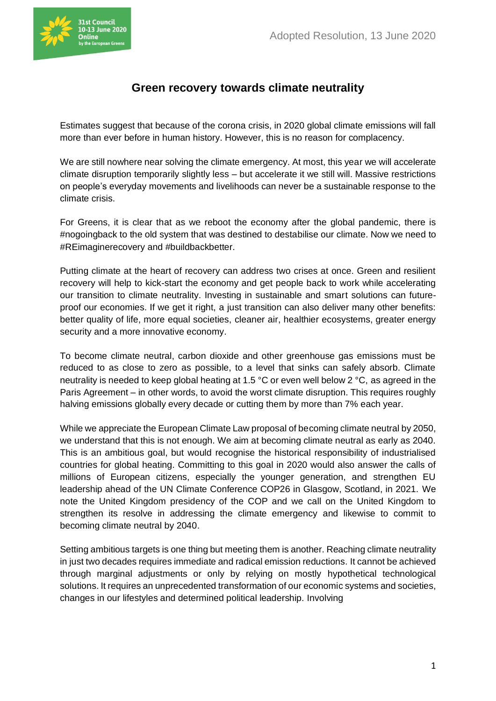

## **Green recovery towards climate neutrality**

Estimates suggest that because of the corona crisis, in 2020 global climate emissions will fall more than ever before in human history. However, this is no reason for complacency.

We are still nowhere near solving the climate emergency. At most, this year we will accelerate climate disruption temporarily slightly less – but accelerate it we still will. Massive restrictions on people's everyday movements and livelihoods can never be a sustainable response to the climate crisis.

For Greens, it is clear that as we reboot the economy after the global pandemic, there is #nogoingback to the old system that was destined to destabilise our climate. Now we need to #REimaginerecovery and #buildbackbetter.

Putting climate at the heart of recovery can address two crises at once. Green and resilient recovery will help to kick-start the economy and get people back to work while accelerating our transition to climate neutrality. Investing in sustainable and smart solutions can futureproof our economies. If we get it right, a just transition can also deliver many other benefits: better quality of life, more equal societies, cleaner air, healthier ecosystems, greater energy security and a more innovative economy.

To become climate neutral, carbon dioxide and other greenhouse gas emissions must be reduced to as close to zero as possible, to a level that sinks can safely absorb. Climate neutrality is needed to keep global heating at 1.5 °C or even well below 2 °C, as agreed in the Paris Agreement – in other words, to avoid the worst climate disruption. This requires roughly halving emissions globally every decade or cutting them by more than 7% each year.

While we appreciate the European Climate Law proposal of becoming climate neutral by 2050, we understand that this is not enough. We aim at becoming climate neutral as early as 2040. This is an ambitious goal, but would recognise the historical responsibility of industrialised countries for global heating. Committing to this goal in 2020 would also answer the calls of millions of European citizens, especially the younger generation, and strengthen EU leadership ahead of the UN Climate Conference COP26 in Glasgow, Scotland, in 2021. We note the United Kingdom presidency of the COP and we call on the United Kingdom to strengthen its resolve in addressing the climate emergency and likewise to commit to becoming climate neutral by 2040.

Setting ambitious targets is one thing but meeting them is another. Reaching climate neutrality in just two decades requires immediate and radical emission reductions. It cannot be achieved through marginal adjustments or only by relying on mostly hypothetical technological solutions. It requires an unprecedented transformation of our economic systems and societies, changes in our lifestyles and determined political leadership. Involving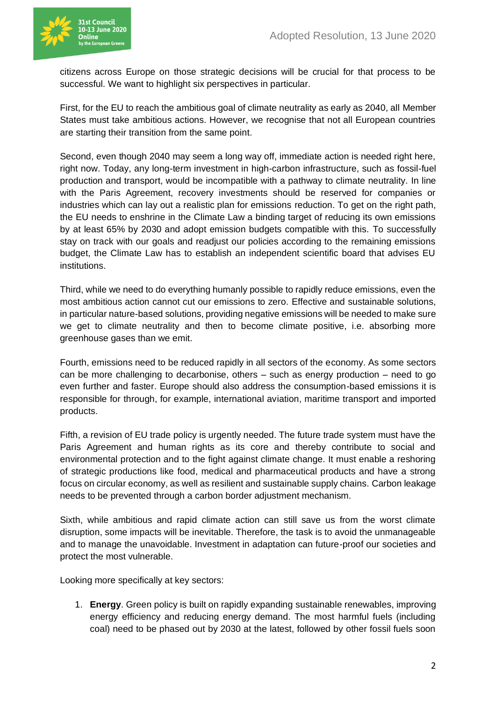

citizens across Europe on those strategic decisions will be crucial for that process to be successful. We want to highlight six perspectives in particular.

First, for the EU to reach the ambitious goal of climate neutrality as early as 2040, all Member States must take ambitious actions. However, we recognise that not all European countries are starting their transition from the same point.

Second, even though 2040 may seem a long way off, immediate action is needed right here, right now. Today, any long-term investment in high-carbon infrastructure, such as fossil-fuel production and transport, would be incompatible with a pathway to climate neutrality. In line with the Paris Agreement, recovery investments should be reserved for companies or industries which can lay out a realistic plan for emissions reduction. To get on the right path, the EU needs to enshrine in the Climate Law a binding target of reducing its own emissions by at least 65% by 2030 and adopt emission budgets compatible with this. To successfully stay on track with our goals and readjust our policies according to the remaining emissions budget, the Climate Law has to establish an independent scientific board that advises EU institutions.

Third, while we need to do everything humanly possible to rapidly reduce emissions, even the most ambitious action cannot cut our emissions to zero. Effective and sustainable solutions, in particular nature-based solutions, providing negative emissions will be needed to make sure we get to climate neutrality and then to become climate positive, i.e. absorbing more greenhouse gases than we emit.

Fourth, emissions need to be reduced rapidly in all sectors of the economy. As some sectors can be more challenging to decarbonise, others – such as energy production – need to go even further and faster. Europe should also address the consumption-based emissions it is responsible for through, for example, international aviation, maritime transport and imported products.

Fifth, a revision of EU trade policy is urgently needed. The future trade system must have the Paris Agreement and human rights as its core and thereby contribute to social and environmental protection and to the fight against climate change. It must enable a reshoring of strategic productions like food, medical and pharmaceutical products and have a strong focus on circular economy, as well as resilient and sustainable supply chains. Carbon leakage needs to be prevented through a carbon border adjustment mechanism.

Sixth, while ambitious and rapid climate action can still save us from the worst climate disruption, some impacts will be inevitable. Therefore, the task is to avoid the unmanageable and to manage the unavoidable. Investment in adaptation can future-proof our societies and protect the most vulnerable.

Looking more specifically at key sectors:

1. **Energy**. Green policy is built on rapidly expanding sustainable renewables, improving energy efficiency and reducing energy demand. The most harmful fuels (including coal) need to be phased out by 2030 at the latest, followed by other fossil fuels soon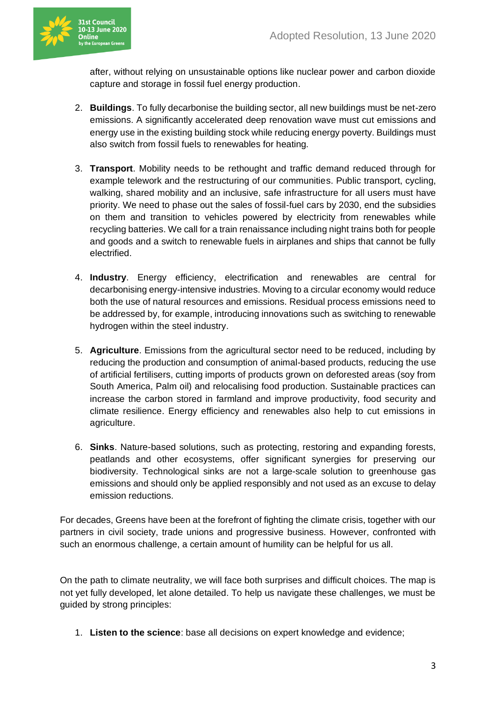

after, without relying on unsustainable options like nuclear power and carbon dioxide capture and storage in fossil fuel energy production.

- 2. **Buildings**. To fully decarbonise the building sector, all new buildings must be net-zero emissions. A significantly accelerated deep renovation wave must cut emissions and energy use in the existing building stock while reducing energy poverty. Buildings must also switch from fossil fuels to renewables for heating.
- 3. **Transport**. Mobility needs to be rethought and traffic demand reduced through for example telework and the restructuring of our communities. Public transport, cycling, walking, shared mobility and an inclusive, safe infrastructure for all users must have priority. We need to phase out the sales of fossil-fuel cars by 2030, end the subsidies on them and transition to vehicles powered by electricity from renewables while recycling batteries. We call for a train renaissance including night trains both for people and goods and a switch to renewable fuels in airplanes and ships that cannot be fully electrified.
- 4. **Industry**. Energy efficiency, electrification and renewables are central for decarbonising energy-intensive industries. Moving to a circular economy would reduce both the use of natural resources and emissions. Residual process emissions need to be addressed by, for example, introducing innovations such as switching to renewable hydrogen within the steel industry.
- 5. **Agriculture**. Emissions from the agricultural sector need to be reduced, including by reducing the production and consumption of animal-based products, reducing the use of artificial fertilisers, cutting imports of products grown on deforested areas (soy from South America, Palm oil) and relocalising food production. Sustainable practices can increase the carbon stored in farmland and improve productivity, food security and climate resilience. Energy efficiency and renewables also help to cut emissions in agriculture.
- 6. **Sinks**. Nature-based solutions, such as protecting, restoring and expanding forests, peatlands and other ecosystems, offer significant synergies for preserving our biodiversity. Technological sinks are not a large-scale solution to greenhouse gas emissions and should only be applied responsibly and not used as an excuse to delay emission reductions.

For decades, Greens have been at the forefront of fighting the climate crisis, together with our partners in civil society, trade unions and progressive business. However, confronted with such an enormous challenge, a certain amount of humility can be helpful for us all.

On the path to climate neutrality, we will face both surprises and difficult choices. The map is not yet fully developed, let alone detailed. To help us navigate these challenges, we must be guided by strong principles:

1. **Listen to the science**: base all decisions on expert knowledge and evidence;